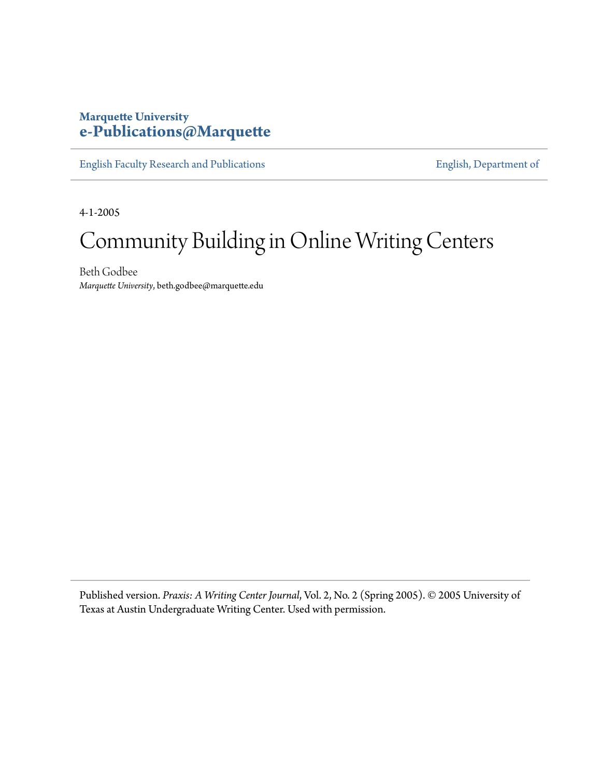## **Marquette University [e-Publications@Marquette](https://epublications.marquette.edu)**

[English Faculty Research and Publications](https://epublications.marquette.edu/english_fac) **[English, Department of](https://epublications.marquette.edu/english)** 

4-1-2005

## Community Building in Online Writing Centers

Beth Godbee *Marquette University*, beth.godbee@marquette.edu

Published version. *Praxis: A Writing Center Journal*, Vol. 2, No. 2 (Spring 2005). © 2005 University of Texas at Austin Undergraduate Writing Center. Used with permission.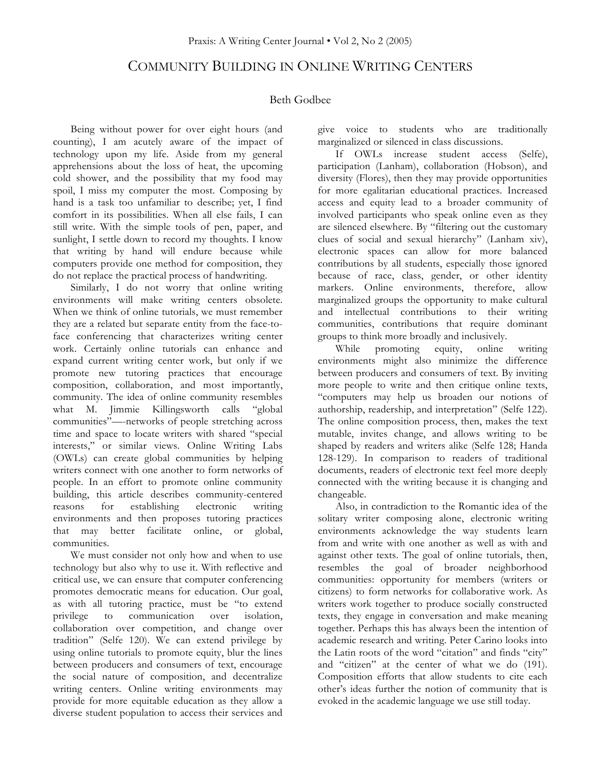## COMMUNITY BUILDING IN ONLINE WRITING CENTERS

## Beth Godbee

Being without power for over eight hours (and counting), I am acutely aware of the impact of technology upon my life. Aside from my general apprehensions about the loss of heat, the upcoming cold shower, and the possibility that my food may spoil, I miss my computer the most. Composing by hand is a task too unfamiliar to describe; yet, I find comfort in its possibilities. When all else fails, I can still write. With the simple tools of pen, paper, and sunlight, I settle down to record my thoughts. I know that writing by hand will endure because while computers provide one method for composition, they do not replace the practical process of handwriting.

Similarly, I do not worry that online writing environments will make writing centers obsolete. When we think of online tutorials, we must remember they are a related but separate entity from the face-toface conferencing that characterizes writing center work. Certainly online tutorials can enhance and expand current writing center work, but only if we promote new tutoring practices that encourage composition, collaboration, and most importantly, community. The idea of online community resembles what M. Jimmie Killingsworth calls "global communities"—-networks of people stretching across time and space to locate writers with shared "special interests," or similar views. Online Writing Labs (OWLs) can create global communities by helping writers connect with one another to form networks of people. In an effort to promote online community building, this article describes community-centered reasons for establishing electronic writing environments and then proposes tutoring practices that may better facilitate online, or global, communities.

We must consider not only how and when to use technology but also why to use it. With reflective and critical use, we can ensure that computer conferencing promotes democratic means for education. Our goal, as with all tutoring practice, must be "to extend privilege to communication over isolation, collaboration over competition, and change over tradition" (Selfe 120). We can extend privilege by using online tutorials to promote equity, blur the lines between producers and consumers of text, encourage the social nature of composition, and decentralize writing centers. Online writing environments may provide for more equitable education as they allow a diverse student population to access their services and

give voice to students who are traditionally marginalized or silenced in class discussions.

If OWLs increase student access (Selfe), participation (Lanham), collaboration (Hobson), and diversity (Flores), then they may provide opportunities for more egalitarian educational practices. Increased access and equity lead to a broader community of involved participants who speak online even as they are silenced elsewhere. By "filtering out the customary clues of social and sexual hierarchy" (Lanham xiv), electronic spaces can allow for more balanced contributions by all students, especially those ignored because of race, class, gender, or other identity markers. Online environments, therefore, allow marginalized groups the opportunity to make cultural and intellectual contributions to their writing communities, contributions that require dominant groups to think more broadly and inclusively.

While promoting equity, online writing environments might also minimize the difference between producers and consumers of text. By inviting more people to write and then critique online texts, "computers may help us broaden our notions of authorship, readership, and interpretation" (Selfe 122). The online composition process, then, makes the text mutable, invites change, and allows writing to be shaped by readers and writers alike (Selfe 128; Handa 128-129). In comparison to readers of traditional documents, readers of electronic text feel more deeply connected with the writing because it is changing and changeable.

Also, in contradiction to the Romantic idea of the solitary writer composing alone, electronic writing environments acknowledge the way students learn from and write with one another as well as with and against other texts. The goal of online tutorials, then, resembles the goal of broader neighborhood communities: opportunity for members (writers or citizens) to form networks for collaborative work. As writers work together to produce socially constructed texts, they engage in conversation and make meaning together. Perhaps this has always been the intention of academic research and writing. Peter Carino looks into the Latin roots of the word "citation" and finds "city" and "citizen" at the center of what we do (191). Composition efforts that allow students to cite each other's ideas further the notion of community that is evoked in the academic language we use still today.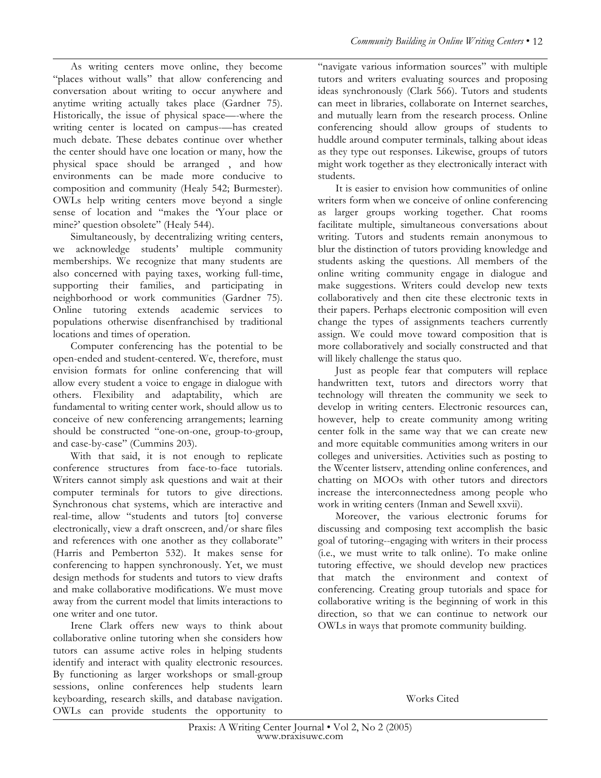As writing centers move online, they become "places without walls" that allow conferencing and conversation about writing to occur anywhere and anytime writing actually takes place (Gardner 75). Historically, the issue of physical space—-where the writing center is located on campus-has created much debate. These debates continue over whether the center should have one location or many, how the physical space should be arranged , and how environments can be made more conducive to composition and community (Healy 542; Burmester). OWLs help writing centers move beyond a single sense of location and "makes the 'Your place or mine?' question obsolete'' (Healy 544).

Simultaneously, by decentralizing writing centers, we acknowledge students' multiple community memberships. We recognize that many students are also concerned with paying taxes, working full-time, supporting their families, and participating in neighborhood or work communities (Gardner 75). Online tutoring extends academic services to populations otherwise disenfranchised by traditional locations and times of operation.

Computer conferencing has the potential to be open-ended and student-centered. We, therefore, must envision formats for online conferencing that will allow every student a voice to engage in dialogue with others. Flexibility and adaptability, which are fundamental to writing center work, should allow us to conceive of new conferencing arrangements; learning should be constructed "one-on-one, group-to-group, and case-by-case" (Cummins 203).

With that said, it is not enough to replicate conference structures from face-to-face tutorials. Writers cannot simply ask questions and wait at their computer terminals for tutors to give directions. Synchronous chat systems, which are interactive and real-time, allow "students and tutors [to] converse electronically, view a draft onscreen, and/or share files and references with one another as they collaborate" (Harris and Pemberton 532). It makes sense for conferencing to happen synchronously. Yet, we must design methods for students and tutors to view drafts and make collaborative modifications. We must move away from the current model that limits interactions to one writer and one tutor.

Irene Clark offers new ways to think about collaborative online tutoring when she considers how tutors can assume active roles in helping students identify and interact with quality electronic resources. By functioning as larger workshops or small-group sessions, online conferences help students learn keyboarding, research skills, and database navigation. OWLs can provide students the opportunity to "navigate various information sources" with multiple tutors and writers evaluating sources and proposing ideas synchronously (Clark 566). Tutors and students can meet in libraries, collaborate on Internet searches, and mutually learn from the research process. Online conferencing should allow groups of students to huddle around computer terminals, talking about ideas as they type out responses. Likewise, groups of tutors might work together as they electronically interact with students.

It is easier to envision how communities of online writers form when we conceive of online conferencing as larger groups working together. Chat rooms facilitate multiple, simultaneous conversations about writing. Tutors and students remain anonymous to blur the distinction of tutors providing knowledge and students asking the questions. All members of the online writing community engage in dialogue and make suggestions. Writers could develop new texts collaboratively and then cite these electronic texts in their papers. Perhaps electronic composition will even change the types of assignments teachers currently assign. We could move toward composition that is more collaboratively and socially constructed and that will likely challenge the status quo.

Just as people fear that computers will replace handwritten text, tutors and directors worry that technology will threaten the community we seek to develop in writing centers. Electronic resources can, however, help to create community among writing center folk in the same way that we can create new and more equitable communities among writers in our colleges and universities. Activities such as posting to the Wcenter listserv, attending online conferences, and chatting on MOOs with other tutors and directors increase the interconnectedness among people who work in writing centers (Inman and Sewell xxvii).

Moreover, the various electronic forums for discussing and composing text accomplish the basic goal of tutoring--engaging with writers in their process (i.e., we must write to talk online). To make online tutoring effective, we should develop new practices that match the environment and context of conferencing. Creating group tutorials and space for collaborative writing is the beginning of work in this direction, so that we can continue to network our OWLs in ways that promote community building.

Works Cited